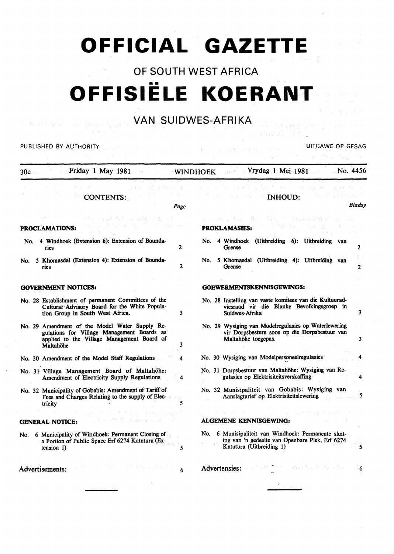# **OFFICIAL GAZETTE**

# OF SOUTH WEST AFRICA •• **OFFISIELE KOERANT**

# VAN SUIDWES-AFRIKA

|                                                                                                                                                              | OUID VV LUT<br>$T$ $T$ i ilin $T$                                                                                                        |
|--------------------------------------------------------------------------------------------------------------------------------------------------------------|------------------------------------------------------------------------------------------------------------------------------------------|
| PUBLISHED BY AUTHORITY                                                                                                                                       | UITGAWE OP GESAG<br>Sudwick Banks<br>System R                                                                                            |
| Friday 1 May 1981<br>30c                                                                                                                                     | WINDHOEK Vrydag 1 Mei 1981                                                                                                               |
| <b>CONTENTS:</b><br>Page                                                                                                                                     | <b>INHOUD:</b><br><b>Bladsy</b>                                                                                                          |
| <b>PROCLAMATIONS:</b>                                                                                                                                        | 复好的复数的复数 经支付人民主义<br><b>PROKLAMASIES:</b>                                                                                                 |
| 4 Windhoek (Extension 6): Extension of Bounda-<br>No.<br>2<br>ries                                                                                           | 4 Windhoek (Uitbreiding 6): Uitbreiding van<br>No.<br>Grense<br>2                                                                        |
| 5 Khomasdal (Extension 4): Extension of Bounda-<br>No.<br>$\mathbf{2}$<br>ries                                                                               | 5 Khomasdal (Uitbreiding 4): Uitbreiding van<br>No.<br>Grense<br>2                                                                       |
| <b>GOVERNMENT NOTICES:</b>                                                                                                                                   | <b>GOEWERMENTSKENNISGEWINGS:</b>                                                                                                         |
| No. 28 Establishment of permanent Committees of the<br>Cultural Advisory Board for the White Popula-<br>tion Group in South West Africa.<br>3                | No. 28 Instelling van vaste komitees van die Kultuurad-<br>viesraad vir die Blanke Bevolkingsgroep in<br>3<br>Suidwes-Afrika             |
| No. 29 Amendment of the Model Water Supply Re-<br>gulations for Village Management Boards as<br>applied to the Village Management Board of<br>3<br>Maltahöhe | No. 29 Wysiging van Modelregulasies op Waterlewering<br>vir Dorpsbesture soos op die Dorpsbestuur van<br>Maltahöhe toegepas.<br>3        |
| No. 30 Amendment of the Model Staff Regulations<br>4                                                                                                         | No. 30 Wysiging van Modelpersoneelregulasies                                                                                             |
| No. 31 Village Management Board of Maltahöhe:<br>Amendment of Electricity Supply Regulations<br>4                                                            | No. 31 Dorpsbestuur van Maltahöhe: Wysiging van Re-<br>gulasies op Elektrisiteitsverskaffing<br>4                                        |
| No. 32 Municipality of Gobabis: Amendment of Tariff of<br>Fees and Charges Relating to the supply of Elec-<br>5<br>tricity                                   | No. 32 Munisipaliteit van Gobabis: Wysiging van<br>Aanslagtarief op Elektrisiteitslewering<br>5                                          |
| 에 그 그 일이 좋아. 승규는 눈을 흘렸다. 그릇이 거두었<br><b>GENERAL NOTICE:</b>                                                                                                   | state of the pro-<br>ALGEMENE KENNISGEWING:                                                                                              |
| No. 6 Municipality of Windhoek: Permanent Closing of<br>a Portion of Public Space Erf 6274 Katutura (Ex-<br>5<br>tension $1)$                                | No. 6 Munisipaliteit van Windhoek: Permanente sluit-<br>ing van 'n gedeelte van Openbare Plek, Erf 6274<br>Katutura (Uitbreiding 1)<br>5 |
| ingen i Faceny waard, het<br>Advertisements:                                                                                                                 | 计同步停止 医胸膜透光素 医中央部<br>Advertensies:<br>6                                                                                                  |
|                                                                                                                                                              | $\hat{\rho}(\hat{\beta}) = \hat{\rho}(\hat{\beta} \hat{\rho}) = \hat{\rho}(\hat{\rho} \hat{\rho}) + \hat{\rho}$                          |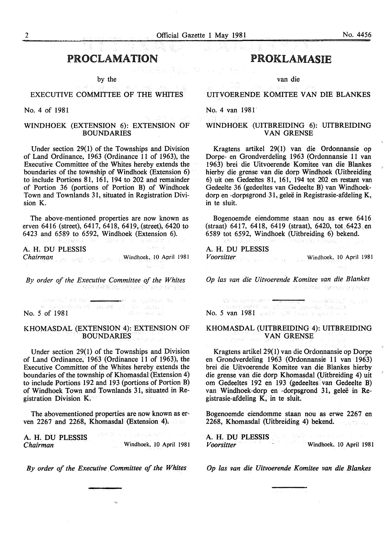### PROCLAMATION

by the

#### EXECUTIVE COMMITTEE OF THE WHITES

#### No. 4 of 1981

#### WINDHOEK (EXTENSION 6): EXTENSION OF BOUNDARIES

Under section 29(1) of the Townships and Division of Land Ordinance, 1963 (Ordinance 11 of 1963), the Executive Committee of the Whites hereby extends the boundaries of the township of Windhoek (Extension 6) to include Portions 81, 161, 194 to 202 and remainder of Portion 36 (portions of Portion B) of Windhoek Town and Townlands 31, situated in Registration Division K.

The above-mentioned properties are now known as erven 6416 (street), 6417, 6418, 6419,(street), 6420 to 6423 and 6589 to 6592, Windhoek (Extension 6).

gázho do ji conando PA

A. H. DU PLESSIS

**Chairman Windhoek**, 10 April 1981

*By order of the Executive Committee of the Whites* 

 $\begin{array}{lll} \text{lower number of vertical regions} \\ \text{N=100 cm} \\ \text{No. 5 of 1981} \end{array} \begin{array}{lll} \text{lower number of vertical regions} \\ \text{lower number of vertical regions} \\ \text{lower number of vertical regions} \end{array}$ istnativič albumov 4 ⇔ev lež spričaveni žý i

#### KHOMASDAL (EXTENSION 4): EXTENSION OF BOUNDARIES

Under section 29(1) of the Townships and Division of Land Ordinance, 1963 (Ordinance 11 of 1963), the Executive Committee of the Whites hereby extends the boundaries of the township of Khomasdal (Extension 4) to include Portions 192 and 193 (portions of Portion B) of Windhoek Town and Townlands 31, situated in Registration Division K.

The abovementioned properties are now known as erven 2267 and 2268, Khomasdal (Extension 4).

v dřevnou velk A. H. DU PLESSIS *Chairman* Windhoek, 10 April 1981

*By order of the Executive Committee of the Whites* 

# PROKLAMASIE

van die

UITVOERENDE KOMITEE VAN DIE BLANKES

#### No. 4 van 1981

#### WINDHOEK (UITBREIDING 6): UITBREIDING VAN GRENSE

Kragtens artikel 29(1) van die Ordonnansie op Dorpe- en Grondverdeling 1963 (Ordonnansie 11 van 1963) brei die Uitvoerende Komitee van die Blankes hierby die grense van die dorp Windhoek (Uitbreiding 6) uit om Gedeeltes 81, 161, 194 tot 202 en restant van Gedeelte 36 (gedeeltes van Gedeelte B) van Windhoekdorp en -dorpsgrond 31, geleë in Registrasie-afdeling K, in te sluit.

Bogenoemde eiendomme staan nou as erwe 6416 (straat) 6417, 6418, 6419 (straat), 6420, tot 6423 en 6589 tot 6592, Windhoek (Uitbreiding 6) bekend.

A. H. DU PLESSIS

*Voorsitter* **Windhoek**, 10 April 1981

*Op las van die Uitvoerende Komitee van die Blankes*  **DESTINY TWING ASTRICIO** 

No. 3 van 1981 <del>- Die Steeg I</del>, maardelidsbi<sup>n</sup> is 1988<br>- Speel sid<sup>ige</sup> in 2015 - Reachen leadsbin<br>- **No. 5 van 1981** - Wall and the New Steege Steep

#### KHOMASDAL (UITBREIDING 4): UITBREIDING VAN GRENSE a Karl II

Kragtens artikel29(1) van die Ordonnansie op Dorpe en Grondverdeling 1963 (Ordonnansie 11 van 1963) brei die Uitvoerende Komitee van die Blankes hierby die grense van die dorp Khomasdal (Uitbreiding 4) uit om Gedeeltes 192 en 193 (gedeeltes van Gedeelte B) van Windhoek-dorp en -dorpsgrond 31, gelee in Registrasie-afdeling K, in te sluit.

Bogenoemde eiendomme staan nou as erwe 2267 en 2268, Khomasdal (Uitbreiding 4) bekend.

A. H. DU PLESSIS 65 M *Voorsitter* **Windhoek.** 10 April 1981

*Op las van die Uitvoerende Komitee van die Blankes*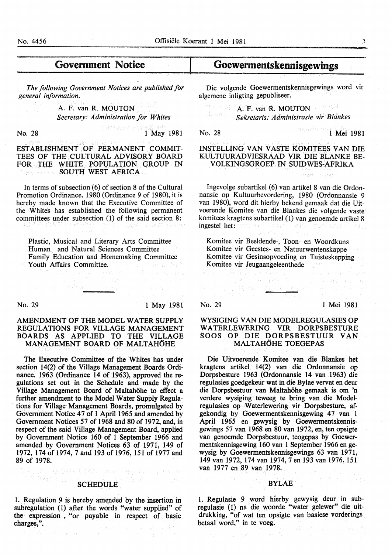# Government Notice

*The following Government Notices are published for general information.* 

> A. F. van R. MOUTON *Secretary: Administration for Whites*

**No. 28** 1 May 1981

ESTABLISHMENT OF PERMANENT COMMIT-TEES OF THE CULTURAL ADVISORY BOARD FOR THE WHITE POPULATION GROUP IN SOUTH WEST AFRICA

In terms of subsection  $(6)$  of section 8 of the Cultural Promotion Ordinance, 1980 (Ordinance 9 of 1980), it is hereby made known that the Executive Committee of the Whites has established the following permanent committees under subsection (1) of the said section 8:

Plastic, Musical and Literary Arts Committee Human and Natural Sciences Committee Family Education and Homemaking Committee Youth Affairs Committee.

No. 29 1 May 1981

#### AMENDMENT OF THE MODEL WATER SUPPLY REGULATIONS FOR VILLAGE MANAGEMENT BOARDS AS APPLIED TO THE VILLAGE MANAGEMENT BOARD OF MALTAHÖHE

The Executive Committee of the Whites has under section 14(2) of the Village Management Boards Ordinance, 1963 (Ordinance 14 of 1963), approved the regulations set out in the Schedule and made by the Village Management Board of Maltahohe to effect a further amendment to the Model Water Supply Regula- . tions for Village Management Boards, promulgated by Government Notice 47 of 1 April 1965 and amended by Government Notices 57 of 1968 and 80 of 1972, and, in respect of the said Village Management Board, applied by Government Notice 160 of 1 September 1966 and amended by Government Notices 63 of 1971, 149 of 1972, 174 of 1974,7 and 193 of 1976, 151 of 1977 and 89 of 1978.

# SCHEDULE **SCHEDULE**

(STP)( THE )

at a style free

(链 章楚刘国武队、准定、国际宣传、党为案件

1. Regulation 9 is hereby amended by the insertion in subregulation (1) after the words "water supplied" of the expression, "or payable in respect of basic charges,".

## Goewermentskennisgewings

Die volgende Goewermentskennisgewings word vir algemene inligting gepubliseer.

#### **A. F. van R. MOUTON**  $\left(\begin{smallmatrix} f & & & \\ & \ddots & & \\ & & \ddots & \\ & & & \end{smallmatrix}\right) \left(\begin{smallmatrix} f_1 & & & \\ & f_2 & & \\ & \ddots & & \\ & & & \end{smallmatrix}\right)$ *Sekretaris: Administrasie vir Blankes*

**No. 28 1 Mei 1981** 

#### INSTELLING VAN VASTE KOMITEES VAN DIE KULTUURADVIESRAAD VIR DIE BLANKE BE-VOLKINGSGROEP IN SUIDWES-AFRIKA

in angkal

Ingevolge subartikel (6) van artikel 8 van die Ordonnansie op Kultuurbevordering, 1980 (Ordonnansie 9 van 1980), word dit hierby bekend gemaak dat die Uitvoerende Komitee van die Blankes die volgende vaste komitees kragtens subartikel (1) van genoemde artikel 8 ingestel het: Southware and a specification and

Komitee vir Beeldende-, Toon- en Woordkuns Komitee vir Geestes- en Natuurwentenskappe Komitee vir Gesinsopvoeding en Tuisteskepping Komitee vir Jeugaangeleenthede

 $\epsilon_{\rm eff}$  .

thater andess

 $\langle \cdot, \cdot \rangle$  ,  $\langle \cdot, \cdot \rangle$ 第一章

 $\rightarrow$  -eq. (  $\sqrt{C_{F}}$ 

No. 29 1 Mei 1981

#### WYSIGING VAN DIE MODELREGULASIES OP WATERLEWERING VIR DORPSBESTURE SOOS OP DIE DORPSBESTUUR VAN MALTAHÖHE TOEGEPAS

Die Uitvoerende Komitee van die Blankes bet kragtens artikel 14(2) van die Ordonnansie op Dorpsbesture 1963 (Ordonnansie 14 van 1963) die regulasies goedgekeur wat in die Bylae vervat en deur die Dorpsbestuur van Maltahohe gemaak is om 'n verdere wysiging teweeg te bring van die Modelregulasies op Waterlewering vir Dorpsbesture, afgekondig by Goewermentskennisgewing 47 van 1 April 1965 en gewysig by Goewermentskennisgewings 57 van 1968 en 80 van 1972, en, ten opsigte van genoemde Dorpsbestuur, teogepas by Goewermentskennisgewing 160 van 1 September 1966 en gewysig by Goewermentskennisgewings 63 van 1971, 149 van 1972, 174 van 1974,7 en 193 van 1976, 151 van 1977 en .89 van 1978.

#### BYLAE

1. Regulasie 9 word hierby gewysig deur in subregulasie (1) na die woorde "water gelewer" die uitdrukking, "of wat ten opsigte van basiese vorderings betaal word," in te voeg.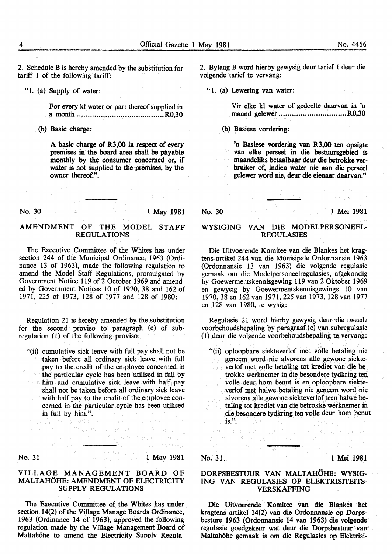2. Schedule B is hereby amended by the substitution for tariff 1 of the following tariff:

"1. (a) Supply of water:

For every kl water or part thereof supplied in a month ........................................ R0,30

(b) Basic charge:

A basic charge of R3,00 in respect of every premises in the board area shall be payable monthly by the consumer concerned or, if water is not supplied to the premises, by the owner thereof.".

No. 30

#### 1 May 1981

### AMENDMENT OF THE MODEL STAFF REGULATIONS

 $21\times 10^{11}$  ,  $\lambda_{\rm{max}}$ 

The Executive Committee of the Whites has under section 244 of the Municipal Ordinance, 1963 (Ordinance 13 of 1963), made the following regulation to amend the Model Staff Regulations, promulgated by Government Notice 119 of 2 October 1969 and amended by Government Notices 10 of 1970, 38 and 162 of 1971, 225 of 1973, 128 of 1977 and 128 of 1980:

Regulation 21 is hereby amended by the substitution for the second proviso to paragraph (c) of subregulation (1) of the following proviso:

"(ii) cumulative sick leave with full pay shall not be taken before all ordinary sick leave with full pay to the credit of the employee concerned in the particular cycle has been utilised in full by him and cumulative sick leave with half pay shall not be taken before all ordinary sick leave with half pay to the credit of the employee concerned in the particular cycle has been utilised

a shekara wa wakazi wa 1999 ya 2009 - Wa

 $\displaystyle \lim_{n\to\infty} \displaystyle \frac{\sin$  full by  $\displaystyle \lim_{n\to\infty}$ . and construct on the photon and<br>the skelphon spaces  $\geq -\gamma\eta$  , when  $\gamma$  and the construction<br>the state of the will be constructed and the same photon

m afir i tema<del>nj</del>

# No. 31 1 May 1981

<del>. - b</del>al sa marakene

#### VILLAGE MANAGEMENT BOARD OF MALTAHOHE: AMENDMENT OF ELECTRICITY SUPPLY REGULATIONS

The Executive Committee of the Whites has under section 14(2) of the Village Manage Boards Ordinance, 1963 (Ordinance 14 of 1963), approved the following regulation made by the Village Management Board of Maltahohe to amend the Electricity Supply Regula2. Bylaag B word hierby gewysig deur tarief 1 deur die volgende tarief te vervang:

"l. (a) Lewering van water:

Vir elke kl water of gedeelte daarvan in 'n maand gelewer .................................R0,30

(b) Basiese vordering:

'n Basiese vordering van R3,00 ten opsigte van elke perseel in die bestuursgebied is maandeliks betaalbaar deur die betrokke verbruiker of, indien water nie aan die perseel gelewer word nie, deur die eienaar daarvan."

#### No. 30

#### 1 Mei 1981

医正常失真 医无子宫下的

### WYSIGING VAN DIE MODELPERSONEEL-REGULASIES

Die Uitvoerende Komitee van die Blankes bet kragtens- artikel 244 van die Munisipale Ordonnansie 1963 (Ordonnansie 13 van 1963) die volgende regulasie gemaak om die Modelpersoneelregulasies, afgekondig by Goewermentskennisgewing 119 van 2 Oktober 1969 en gewysig by Goewermentskennisgewings 10 van 1970, 38 en 162 van 1971, 225 van 1973, 128 van 1977 en 128 van 1980, te wysig:

Regulasie 21 word hierby gewysig deur die tweede voorbehoudsbepaling by paragraaf (c) van subregulasie ( l) deur die volgende voorbehoudsbepaling te vervang:

"(ii) oploopbare siekteverlof met volle betaling nie geneem word nie alvorens alle gewone siekteverlof met voile betaling tot krediet van die betrokke werknemer in die besondere tydkring ten voile deur hom benut is en oploopbare siekteverlof met halwe betaling nie geneem word nie alvorens aile gewone siekteverlof teen halwe be-Show. taling tot krediet van die betrokke werknemer in die besondere tydkring ten voile deur hom benut is.".  $\mathbf{is}$ .".

varkos broni mes monetá tambié dan súil, movem and the indicator of  $\mathbb{C}$  . On a constant

day - wa William

#### No. 31. 1 Mei 1981

#### DORPSBESTUUR VAN MALTAHÖHE: WYSIG-ING VAN REGULASIES OP ELEKTRISITEITS-VERSKAFFING

Die Uitvoerende Komitee van die Blankes het kragtens artikel 14(2) van die Ordonnansie op Dorpsbesture 1963 (Ordonnansie 14 van 1963) die volgende regulasie goedgekeur wat deur die Dorpsbestuur van Maltahohe gemaak is om die Regulasies op Elektrisi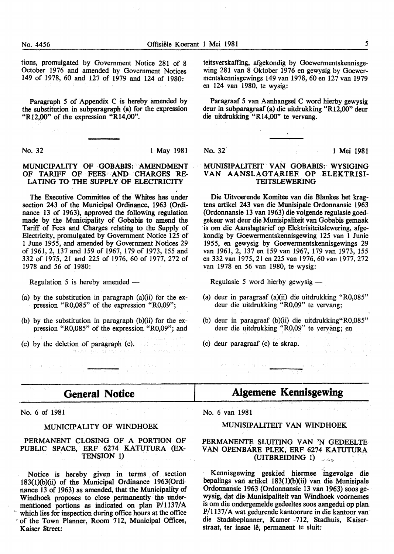tions, promulgated by Government Notice 281 of 8 October 1976 and amended by Government Notices 149 of 1978, 60 and 127 of 1979 and 124 of 1980:

Paragraph *5* of Appendix C is hereby amended by the substitution in subparagraph (a) for the expression "R12,00" of the expression "R14,00''.

No. 32 **l May 1981** 

#### MUNICIPALITY OF GOBABIS: AMENDMENT OF TARIFF OF FEES AND CHARGES RE-LATING-TO THE SUPPLY.OF ELECTRICITY

The Executive Committee of the Whites has under section 243 of the Municipal Ordinance, 1963 (Ordinance 13 of 1963), approved the following regulation made by the Municipality of Gobabis to amend the Tariff of Fees and Charges relating to the Supply of Electricity, promulgated by Government Notice 125 of 1 June 1955, and amended by Government Notices 29 of 1961, 2, 137 and 159 of 1967, 179 of 1973, 155 and 332 of 1975, 21 and 225 of 1976, 60 of 1977, 272 of 1978 and *56* of 1980:

Regulation 5 is hereby amended —

- (a) by the substitution in paragraph (a)(ii) for the ex pression "R0,085" of the expression "R0,09";
- (b) by the substitution in paragraph  $(b)(ii)$  for the expression "R0,085" of the expression "R0,09"; and
- (c) by the deletion of paragraph (c).

i i serie<br>Al Conseil (1998) - Alepter I (1999) - Adelphia<br>Maria (1999) - Al Conseil (1999) - Al Conseil (1999)

teitsverskaffing, afgekondig by Goewermentskennisgewing 281 van 8 Oktober 1976 en gewysig by Goewermentskennisgewings 149 van 1978, 60 en 127 van 1979 en 124 van 1980, te wysig:

Paragraaf *5* van Aanhangsel C word hierby gewysig deur in subparagraaf (a) die uitdrukking "R12,00" deur die uitdrukking "R14,00" te vervang.

No. 32 1 Mei 1981

#### MUNISIPALITEIT VAN GOBABIS: WYSIGING VAN AANSLAGTARIEF OP ELEKTRISI-TEITSLEWERING

Die Uitvoerende Komitee van die Blankes het kragtens artikel 243 van die Munisipale Ordonnansie 1963 (Ordonnansie 13 van 1963) die volgende regulasie goedgekeur wat deur die Munisipaliteit van Gobabis gemaak ·is om die Aanslagtarief op Elektrisiteitslewering, afgekondig by Goewermentskennisgewing 125 van 1 Junie 1955, en gewysig by Goewermentskennisgewings 29 van 1961, 2, 137 en 159 van 1967, 179 van 1973, 155 en 332 van 1975, 21 en 225 van 1976, 60 van 1977, 272 van 1978 en 56 van 1980, te wysig:

Regulasie 5 word hierby gewysig -

- (a) deur in paragraaf (a)(ii) die uitdrukking "R0,085" deur die uitdrukking "R0,09" te vervang;
- (b) deur in paragraaf (b)(ii) die uitdrukking"R0,085" deur die uitdrukking "R0,09" te vervang; en
- (c) deur paragraaf (c) te skrap.

# **General Notice**

No. 6 of 1981

a conservation made.

#### MUNICIPALITY OF WINDHOEK

#### PERMANENT CLOSING OF A PORTION OF PUBLIC SPACE, ERF 6274 KATUTURA (EX-TENSION 1)

Notice is hereby given in terms of section I83(1)(b)(ii) of the Municipal Ordinance 1963(0rdinance 13 of 1963) as amended, that the Municipality of Windhoek proposes to close permanently the undermentioned portions as indicated on plan P/1137/A which lies for inspection during office hours at the office ·of the Town Planner, Room 712, Municipal Offices, Kaiser Street:

# **Algemene Kennisgewing**

 $\label{eq:1.1} \langle \psi_{\alpha} \rangle \approx 10^{10} \times 10^{-2} \, \mathrm{M_{\odot}} \cdot \mathrm{M_{\odot}} \cdot \mathrm{M_{\odot}} \cdot \mathrm{M_{\odot}} \cdot \frac{1}{\mathrm{M_{\odot}}}\cdot \frac{1}{\mathrm{M_{\odot}}}\cdot \frac{1}{\mathrm{M_{\odot}}}\cdot \frac{1}{\mathrm{M_{\odot}}}\cdot \mathrm{M_{\odot}} \cdot \mathrm{M_{\odot}} \cdot \mathrm{M_{\odot}} \cdot \mathrm{M_{\odot}}^{\odot}$ 

No. 6 van 1981

#### MUNISIPALITEIT VAN WINDHOEK

#### PERMANENTE SLUITING VAN 'N GEDEELTE VAN OPENBARE PLEK, ERF 6274 KATUTURA (UITBREIDING 1)

Kennisgewing geskied hiermee ingevolge die bepalings van artikel 183(1)(b)(ii) van die Munisipale Ordonnansie 1963 (Ordonnansie 13 van 1963) soos gewysig, dat die Munisipaliteit van Windhoek voornemes is om die ondergemelde gedeeltes soos aangedui op plan P/1137/A wat gedurende kantoorure in die kantoor van die Stadsbeplanner, Kamer -712, Stadhuis, Kaiserstraat, ter insae lê, permanent te sluit: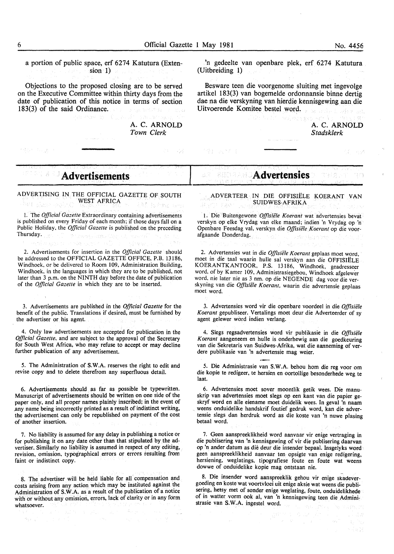a portion of public space, erf 6274 Katutura (Extension 1)

Objections to the proposed closing are to be served on the Executive Committee within thirty days from the date of publication of this notice in terms of section 183(3) of the said Ordinance.

> A. C. ARNOLD *Town Clerk*

En one

'n gedeelte van openbare plek, erf 6274 Katutura (Uitbreiding 1)

Besware teen die voorgenome sluiting met ingevolge artikel 183(3) van bogemelde ordonnansie binne dertig dae na die verskyning van hierdie kennisgewing aan die Uitvoerende Komitee bestel word. x súsilský v a

> A. C. ARNOLD *Stadsklerk*

> > すねずめ

# **Advertisements**

ADVERTISING IN THE OFFICIAL GAZETTE OF SOUTH WEST AFRICA Artes.

1. The *Official Gazette* Extraordinary containing advertisements is published on every Friday of each month; if those days fall on a Public Holiday, the *Official Gazette* is published on the preceding Thursday. Philways Tato With St

2. Advertisements for insertion in the *Official Gazette* should be addressed to the OFFICIAL GAZETTE OFFICE, P.B. 13186, Windhoek, or be delivered to Room 109, Administration Building, Windhoek, in the languages in which they are to be published, not later than 3 p.m. on the NINTH day before the date of publication of the *Official Gazette* in which they are to be inserted.

3. Advertisements are published in the *Official Gazette* for the benefit of the public. Translations if desired, must be furnished by the advertiser or his agent.

4. Only law advertisements are accepted for publication in the *Official Gazette,* and are subject to the approval of the Secretary for South West Africa, who may refuse to accept or may decline further publication of any advertisement.

*5.* The Administration of S.W.A. reserves the right to edit and revise copy and to delete therefrom any superfluous detail.

6. Advertisements should as far as possible be typewritten. Manuscript of advertisements should be written on one side of the paper only, and all proper names plainly inscribed; in the event of .any name being incorrectly printed as a result of indistinct writing, the advertisement can only be republished on payment of the cost of another insertion.

7. No liability is assumed for any delay in publishing a notice or for publishing it on any date other than that stipulated by the advertiser. Similarly no liability is assumed in respect of any editing, revision, omission, typographical errors or errors resulting from faint or indistinct copy.

8. The advertiser will be held liable for all compensation and costs arising from any action which may be instituted against the Administration of S.W.A. as a result of the publication of a notice with or without any omission, errors, lack of clarity or in any form whatsoever.

## **Advertensies**

ADVER TEER IN DIE OFFISIELE KOERANT VAN SUIDWES-AFRIKA  $\mathbb{P} \otimes \mathbb{R}^{\mathcal{N}}$ 16 A

1. Die Buitengewone *Offisiele Koerant* wat advertensies bevat verskyn op elke Vrydag van elke maand; indien 'n Vrydag op 'n Openbare Feesdag val, verskyn die *Offisiele Koerant* op die voorafgaande Donderdag. aster Harry Shin

2. Advertensies wat in die *Offisiele Koerant* geplaas moet word, moet in die taal waarin hulle sal verskyn aan die OFFISIELE KOERANTKANTOOR, P.S. 13186, Windhoek, geadresseer word, of by Kamer 109, Administrasiegebou, Windhoek afgelewer word. nie later nie as 3 nm. op die NEGENDE dag voor die verskyning van die *Offisiele Koerant,* waarin die advertensie geplaas moet word.

3. Advertensies word vir die openbare voordeel in die *Offisiele Koerant* gepubliseer. Vertalings moet deur die Adverteerder of sy agent gelewer word indien verlang.

4. Slegs regsadvertensies word vir publikasie in die *Offisiele Koerant* aangeneem en hulle is onderhewig aan die goedkeuring van die Sekretaris van Suidwes-Afrika, wat die aanneming of verdere publikasie van 'n advertensie mag weier.

*5.* Die Administrasie van S.W.A. behou hom die reg voor om die kopie te redigeer, te hersien en oortollige besonderhede weg te laat.

6. Advertensies moet sover moontlik getik wees. Die manuskrip van advertensies moet slegs op een kant van die papier geskryf word en aile eiename moet duidelik wees. In geval 'n naam weens onduidelike handskrif foutief gedruk word, kan die advertensie slegs dan herdruk word as die koste van 'n nuwe plasing betaal word.

7. Geen aanspreeklikheid word aanvaar vir enige vertraging in die publisering van 'n kennisgewing of vir die publisering daarvan op 'n ander datum as die deur die insender bepaal. Insgelyks word geen aanspreeklikheid aanvaar ten opsigte van enige redigering, hersiening, weglatings, tipografiese foute en foute wat weens dowwe of onduidelike kopie mag ontstaan nie.

8. Die insender word aanspreeklik gehou vir enige skadevergoeding en koste wat voortvloei uit enige aksie wat weens die publisering, hetsy met of sonder enige weglating, foute, onduidelikhede of in watter vorm ook al, van 'n kennisgewing teen die Administrasie van S.W.A. ingestel word.

 $\gamma^{\prime\prime}$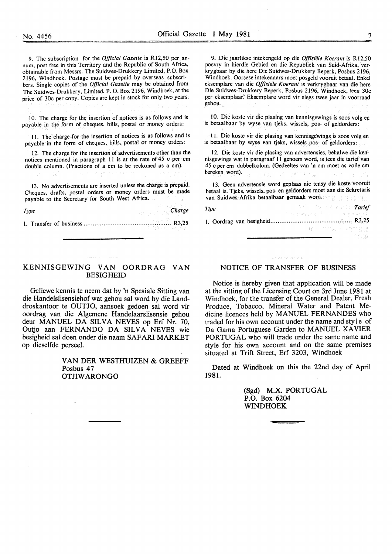9. The subscription for the *Official Gazette* is R12,50 per annum, post free in this Territory and the Republic of South Africa, obtainable from Messrs. The Suidwes-Drukkery Limited, P.O. Box 2196, Windhoek. Postage must be prepaid by overseas subscr! bers. Single copies of the *Official Gazette* may be obtained from The Suidwes-Drukkery, Limited, P. 0. Box 2196, Windhoek, at the price of 30c per copy. Copies are kept in stock for only two years.

I 0. The charge for the insertion of notices is as follows and is payable in the form of cheques, bills, postal or money orders:

11. The charge for the insertion of notices is as follows and is payable in the form of cheques, bills, postal or money orders:

12. The charge for the insertion of advertisements other than the notices mentioned in paragraph 11 is at the rate of  $45^\circ$  c per em double column. (Fractions of a em to be reckoned as a em).

13. No advertisements are inserted unless the charge is prepaid. Cheques, drafts, postal orders or money orders must be made payable to the Secretary for South West Africa.

*Type Charge* 

l. Transfer of business ................................................ R3,25

9. Die jaarlikse intekengeld op die *Offisiele Koerant* is Rl2,50 posvry in hierdie Gebied en die Republiek van Suid-Afrika, verkrygbaar by die here Die Suidwes-Drukkery Beperk, Posbus 2196, Windhoek. Oorsese intekenaars moet posgeld vooruit betaal. Enkel eksemplare van die *Offisiele Koerant* is verkrygbaar van die here Die Suidwes-Drukkery Beperk, Posbus 2196, Windhoek, teen 30c per eksemplaar: Eksemplare word vir slegs twee jaar in voorraad gehou.

10. Die koste vir die plasing van kennisgewings is soos volg en is betaalbaar by wyse van tjeks, wissels, pos- of geldorders:

11. Die koste vir die plasing van kennisgewings is soos volg en is betaalbaar by wyse van tjeks, wissels pos- of geldorders:

12. Die koste vir die plasing van advertensies, behalwe die kennisgewings wat in paragraaf 11 genoem word, is teen die tarief van 45 c per em dubbelkolom. (Gedeeltes van 'n em moet as voile em bereken word).

13. Geen advertensie word geplaas nie tensy die koste vooruit betaal is. Tjeks, wissels, pos- en geldorders moet aan die Sekretaris van Suidwes-Afrika betaalbaar gemaak word.

| Tipe | and the state of the state of the <b>Tarief</b> |  |
|------|-------------------------------------------------|--|
|      | i pinampung in kacamatan Ka                     |  |
|      |                                                 |  |
|      | 그 없은 사람들과 나라 가장 벌 벌 냈다                          |  |
|      | 그는 아이들은 아이들이 아이들이 아이들을 만들어 사랑했다.                |  |

#### KENNISGEWING VAN OORDRAG VAN BESIGHEID

Geliewe kennis te neem dat by 'n Spesiale Sitting van die Handelslisensiehof wat gehou sal word by die Landdroskantoor te OUTJO, aansoek gedoen sal word vir oordrag van die Algemene Handelaarslisensie gehou deur MANUEL DA SILVA NEVES op Erf Nr. 70, Outjo aan FERNANDO DA SILVA NEVES wie besigheid sal doen onder die naam SAFARI MARKET op dieselfde perseel.

> VAN DER WESTHUIZEN & GREEFF Posbus 47 OTJIW ARONGO

#### NOTICE OF TRANSFER OF BUSINESS

Notice is hereby given that application will be made at the sitting of the Licensing Court on 3rd June 1981 at Windhoek, for the transfer of the General Dealer, Fresh Produce, Tobacco, Mineral Water and Patent Medicine licences held by MANUEL FERNANDES who traded for his own account under the name and style of Da Gama Portuguese Garden to MANUEL XAVIER PORTUGAL who will trade under the same name and style for his own account and on the same premises situated at Trift Street, Erf 3203, Windhoek

Dated at Windhoek on this the 22nd day of April 1981.

> (Sgd) M.X. PORTUGAL P.O. Box 6204 WINDHOEK